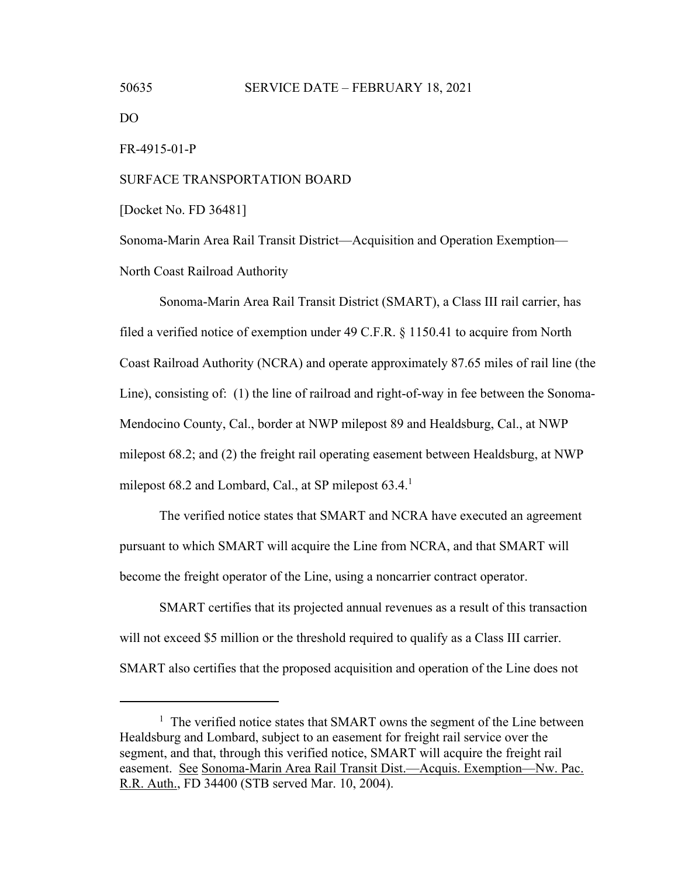DO

FR-4915-01-P

SURFACE TRANSPORTATION BOARD

[Docket No. FD 36481]

Sonoma-Marin Area Rail Transit District—Acquisition and Operation Exemption— North Coast Railroad Authority

Sonoma-Marin Area Rail Transit District (SMART), a Class III rail carrier, has filed a verified notice of exemption under 49 C.F.R. § 1150.41 to acquire from North Coast Railroad Authority (NCRA) and operate approximately 87.65 miles of rail line (the Line), consisting of: (1) the line of railroad and right-of-way in fee between the Sonoma-Mendocino County, Cal., border at NWP milepost 89 and Healdsburg, Cal., at NWP milepost 68.2; and (2) the freight rail operating easement between Healdsburg, at NWP milepost 68.2 and Lombard, Cal., at SP milepost  $63.4$ <sup>1</sup>

The verified notice states that SMART and NCRA have executed an agreement pursuant to which SMART will acquire the Line from NCRA, and that SMART will become the freight operator of the Line, using a noncarrier contract operator.

SMART certifies that its projected annual revenues as a result of this transaction will not exceed \$5 million or the threshold required to qualify as a Class III carrier. SMART also certifies that the proposed acquisition and operation of the Line does not

<sup>&</sup>lt;sup>1</sup> The verified notice states that SMART owns the segment of the Line between Healdsburg and Lombard, subject to an easement for freight rail service over the segment, and that, through this verified notice, SMART will acquire the freight rail easement. See Sonoma-Marin Area Rail Transit Dist.—Acquis. Exemption—Nw. Pac. R.R. Auth., FD 34400 (STB served Mar. 10, 2004).